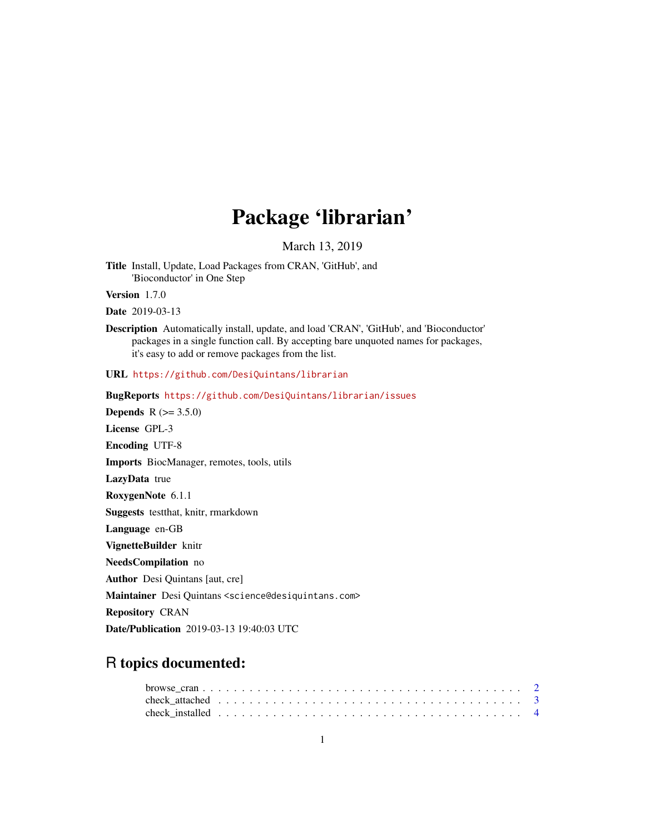# Package 'librarian'

March 13, 2019

Title Install, Update, Load Packages from CRAN, 'GitHub', and 'Bioconductor' in One Step

Version 1.7.0

Date 2019-03-13

Description Automatically install, update, and load 'CRAN', 'GitHub', and 'Bioconductor' packages in a single function call. By accepting bare unquoted names for packages, it's easy to add or remove packages from the list.

URL <https://github.com/DesiQuintans/librarian>

BugReports <https://github.com/DesiQuintans/librarian/issues> **Depends**  $R (= 3.5.0)$ License GPL-3 Encoding UTF-8 Imports BiocManager, remotes, tools, utils LazyData true RoxygenNote 6.1.1 Suggests testthat, knitr, rmarkdown Language en-GB VignetteBuilder knitr NeedsCompilation no Author Desi Quintans [aut, cre] Maintainer Desi Quintans <science@desiquintans.com> Repository CRAN Date/Publication 2019-03-13 19:40:03 UTC

# R topics documented: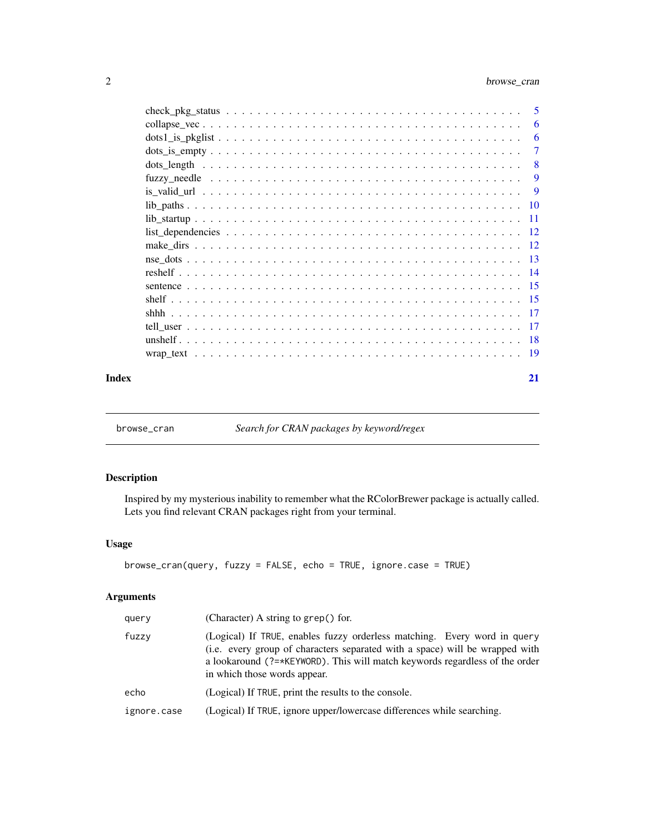<span id="page-1-0"></span>

|       | $\frac{dots1}{s}$ | -6             |
|-------|-------------------|----------------|
|       |                   | -7             |
|       |                   | - 8            |
|       |                   | $\overline{9}$ |
|       |                   |                |
|       |                   |                |
|       |                   |                |
|       |                   |                |
|       |                   |                |
|       |                   |                |
|       |                   |                |
|       |                   |                |
|       |                   |                |
|       |                   |                |
|       |                   |                |
|       |                   |                |
|       |                   |                |
| Index |                   | 21             |

browse\_cran *Search for CRAN packages by keyword/regex*

# Description

Inspired by my mysterious inability to remember what the RColorBrewer package is actually called. Lets you find relevant CRAN packages right from your terminal.

# Usage

```
browse_cran(query, fuzzy = FALSE, echo = TRUE, ignore.case = TRUE)
```
# Arguments

| query       | (Character) A string to grep() for.                                                                                                                                                                                                                                             |
|-------------|---------------------------------------------------------------------------------------------------------------------------------------------------------------------------------------------------------------------------------------------------------------------------------|
| fuzzy       | (Logical) If TRUE, enables fuzzy orderless matching. Every word in query<br>(i.e. every group of characters separated with a space) will be wrapped with<br>a lookaround ( $?=\star$ KEYWORD). This will match keywords regardless of the order<br>in which those words appear. |
| echo        | (Logical) If TRUE, print the results to the console.                                                                                                                                                                                                                            |
| ignore.case | (Logical) If TRUE, ignore upper/lowercase differences while searching.                                                                                                                                                                                                          |
|             |                                                                                                                                                                                                                                                                                 |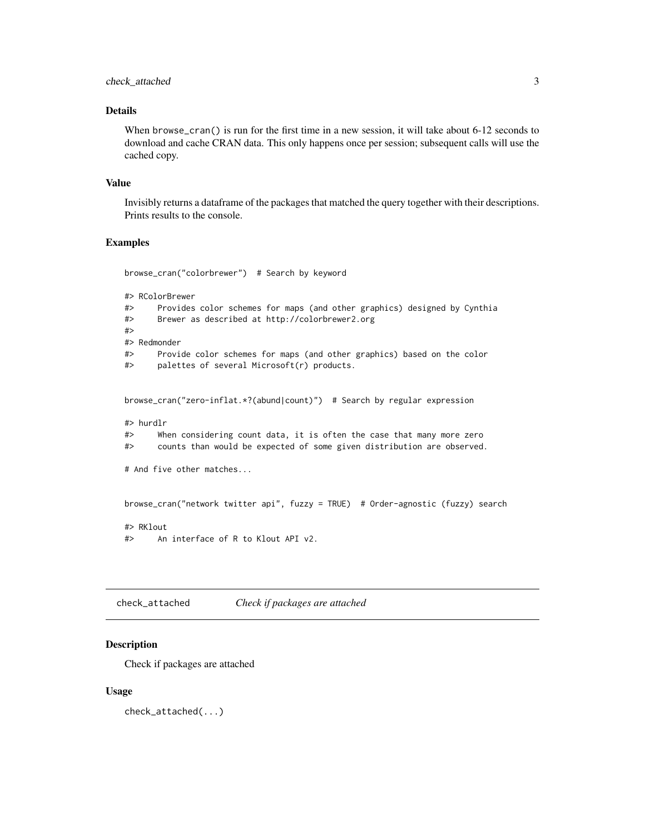#### <span id="page-2-0"></span>check\_attached 3

#### Details

When browse\_cran() is run for the first time in a new session, it will take about 6-12 seconds to download and cache CRAN data. This only happens once per session; subsequent calls will use the cached copy.

#### Value

Invisibly returns a dataframe of the packages that matched the query together with their descriptions. Prints results to the console.

# Examples

browse\_cran("colorbrewer") # Search by keyword

```
#> RColorBrewer
```
#> Provides color schemes for maps (and other graphics) designed by Cynthia #> Brewer as described at http://colorbrewer2.org #> #> Redmonder #> Provide color schemes for maps (and other graphics) based on the color #> palettes of several Microsoft(r) products. browse\_cran("zero-inflat.\*?(abund|count)") # Search by regular expression #> hurdlr

#> When considering count data, it is often the case that many more zero #> counts than would be expected of some given distribution are observed.

# And five other matches...

browse\_cran("network twitter api", fuzzy = TRUE) # Order-agnostic (fuzzy) search

#> RKlout #> An interface of R to Klout API v2.

check\_attached *Check if packages are attached*

#### Description

Check if packages are attached

#### Usage

check\_attached(...)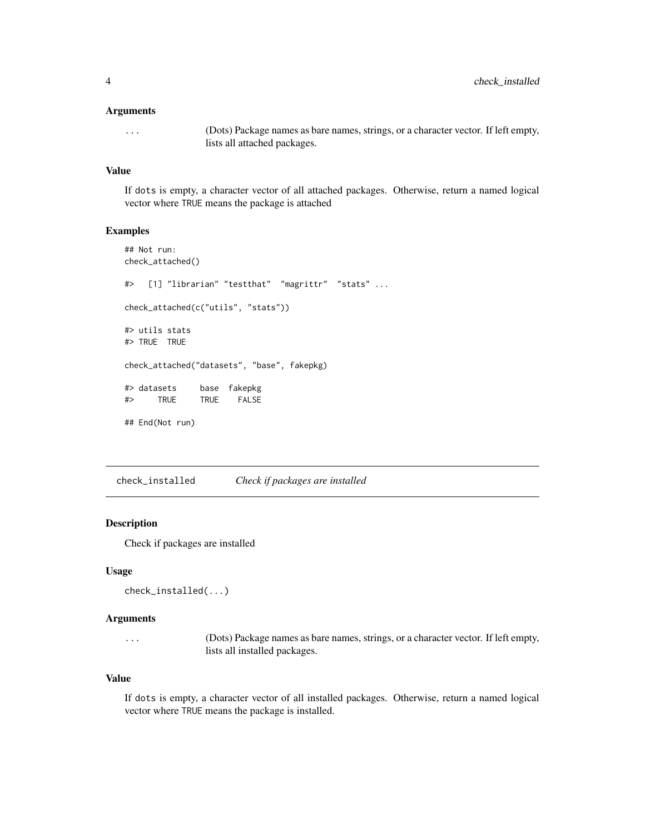#### <span id="page-3-0"></span>Arguments

... (Dots) Package names as bare names, strings, or a character vector. If left empty, lists all attached packages.

#### Value

If dots is empty, a character vector of all attached packages. Otherwise, return a named logical vector where TRUE means the package is attached

#### Examples

```
## Not run:
check_attached()
#> [1] "librarian" "testthat" "magrittr" "stats" ...
check_attached(c("utils", "stats"))
#> utils stats
#> TRUE TRUE
check_attached("datasets", "base", fakepkg)
#> datasets base fakepkg
#> TRUE TRUE FALSE
## End(Not run)
```
check\_installed *Check if packages are installed*

#### Description

Check if packages are installed

#### Usage

```
check_installed(...)
```
#### Arguments

... (Dots) Package names as bare names, strings, or a character vector. If left empty, lists all installed packages.

#### Value

If dots is empty, a character vector of all installed packages. Otherwise, return a named logical vector where TRUE means the package is installed.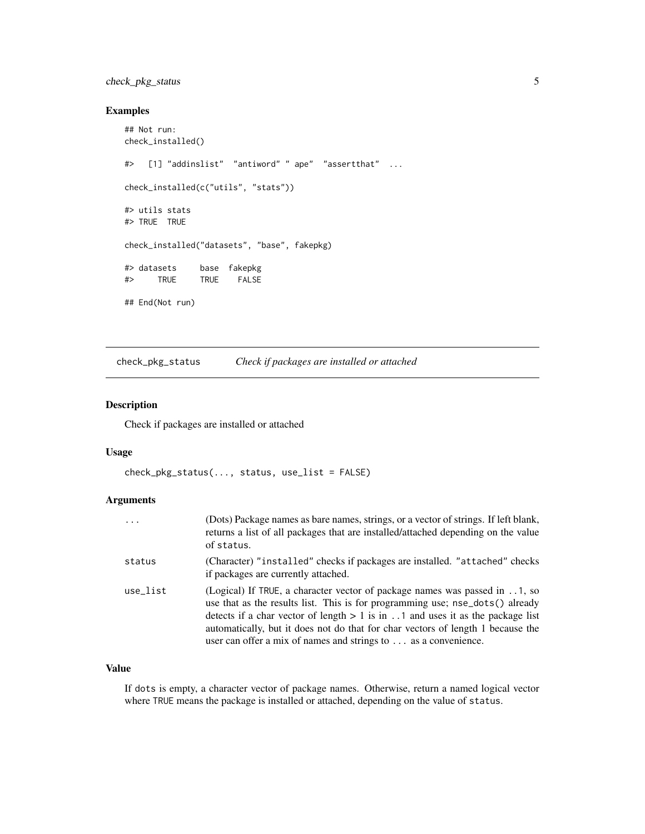# <span id="page-4-0"></span>check\_pkg\_status 5

#### Examples

```
## Not run:
check_installed()
#> [1] "addinslist" "antiword" " ape" "assertthat" ...
check_installed(c("utils", "stats"))
#> utils stats
#> TRUE TRUE
check_installed("datasets", "base", fakepkg)
#> datasets base fakepkg
#> TRUE TRUE FALSE
## End(Not run)
```
check\_pkg\_status *Check if packages are installed or attached*

# Description

Check if packages are installed or attached

#### Usage

```
check_pkg_status(..., status, use_list = FALSE)
```
# Arguments

| $\cdots$ | (Dots) Package names as bare names, strings, or a vector of strings. If left blank,<br>returns a list of all packages that are installed/attached depending on the value<br>of status.                                                                                                                                                                                                                       |
|----------|--------------------------------------------------------------------------------------------------------------------------------------------------------------------------------------------------------------------------------------------------------------------------------------------------------------------------------------------------------------------------------------------------------------|
| status   | (Character) "installed" checks if packages are installed. "attached" checks<br>if packages are currently attached.                                                                                                                                                                                                                                                                                           |
| use list | (Logical) If TRUE, a character vector of package names was passed in 1, so<br>use that as the results list. This is for programming use; nse_dots() already<br>detects if a char vector of length $> 1$ is in 1 and uses it as the package list<br>automatically, but it does not do that for char vectors of length 1 because the<br>user can offer a mix of names and strings to $\dots$ as a convenience. |

# Value

If dots is empty, a character vector of package names. Otherwise, return a named logical vector where TRUE means the package is installed or attached, depending on the value of status.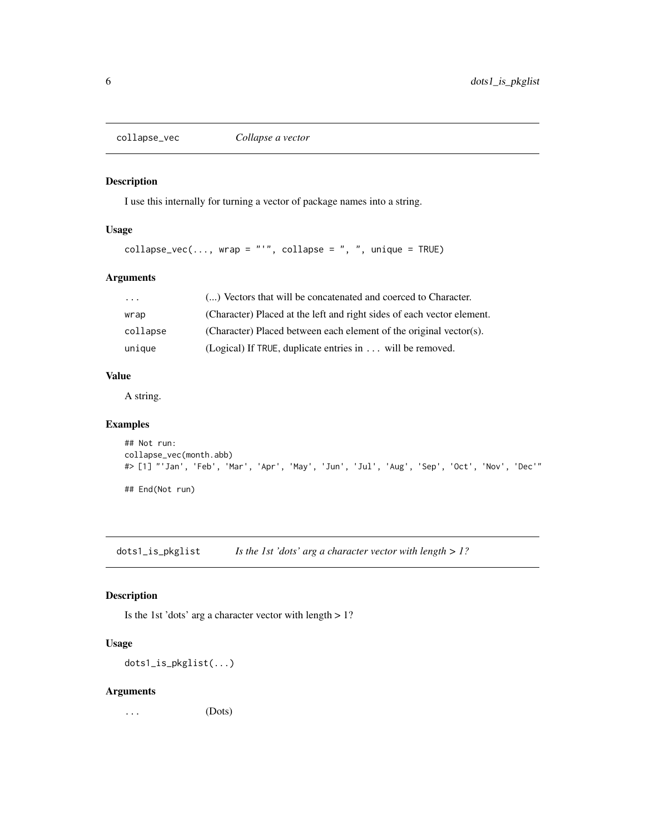<span id="page-5-0"></span>

# Description

I use this internally for turning a vector of package names into a string.

# Usage

```
collapse_vec(..., wrap = "'", collapse = ", ", unique = TRUE)
```
# Arguments

| $\cdot$ $\cdot$ $\cdot$ | () Vectors that will be concatenated and coerced to Character.         |
|-------------------------|------------------------------------------------------------------------|
| wrap                    | (Character) Placed at the left and right sides of each vector element. |
| collapse                | (Character) Placed between each element of the original vector(s).     |
| unique                  | (Logical) If TRUE, duplicate entries in will be removed.               |

# Value

A string.

# Examples

```
## Not run:
collapse_vec(month.abb)
#> [1] "'Jan', 'Feb', 'Mar', 'Apr', 'May', 'Jun', 'Jul', 'Aug', 'Sep', 'Oct', 'Nov', 'Dec'"
```
## End(Not run)

dots1\_is\_pkglist *Is the 1st 'dots' arg a character vector with length > 1?*

# Description

Is the 1st 'dots' arg a character vector with length > 1?

# Usage

dots1\_is\_pkglist(...)

#### Arguments

... (Dots)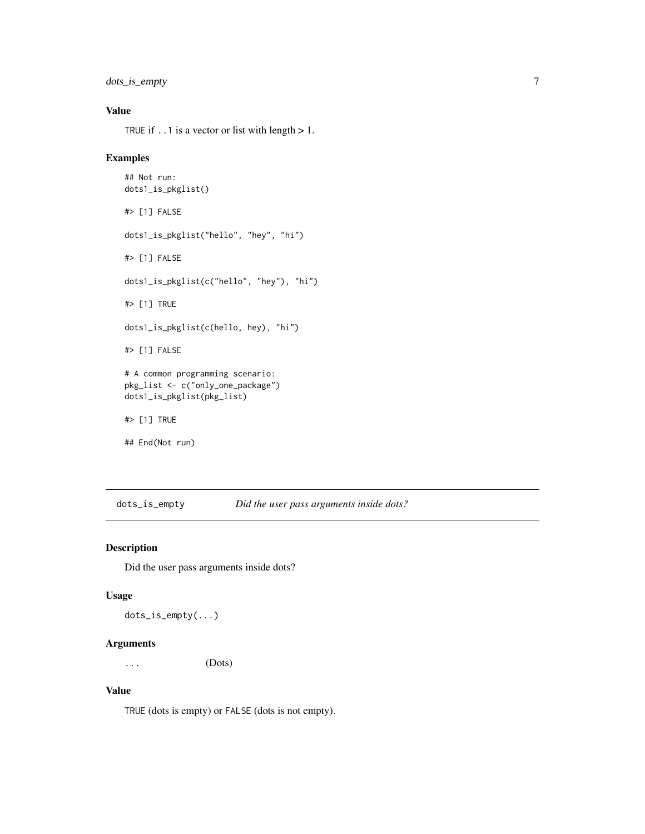<span id="page-6-0"></span>dots\_is\_empty 7

# Value

TRUE if  $\ldots$  1 is a vector or list with length  $> 1$ .

# Examples

```
## Not run:
dots1_is_pkglist()
#> [1] FALSE
dots1_is_pkglist("hello", "hey", "hi")
#> [1] FALSE
dots1_is_pkglist(c("hello", "hey"), "hi")
#> [1] TRUE
dots1_is_pkglist(c(hello, hey), "hi")
#> [1] FALSE
# A common programming scenario:
pkg_list <- c("only_one_package")
dots1_is_pkglist(pkg_list)
#> [1] TRUE
## End(Not run)
```
dots\_is\_empty *Did the user pass arguments inside dots?*

# Description

Did the user pass arguments inside dots?

#### Usage

dots\_is\_empty(...)

# Arguments

... (Dots)

# Value

TRUE (dots is empty) or FALSE (dots is not empty).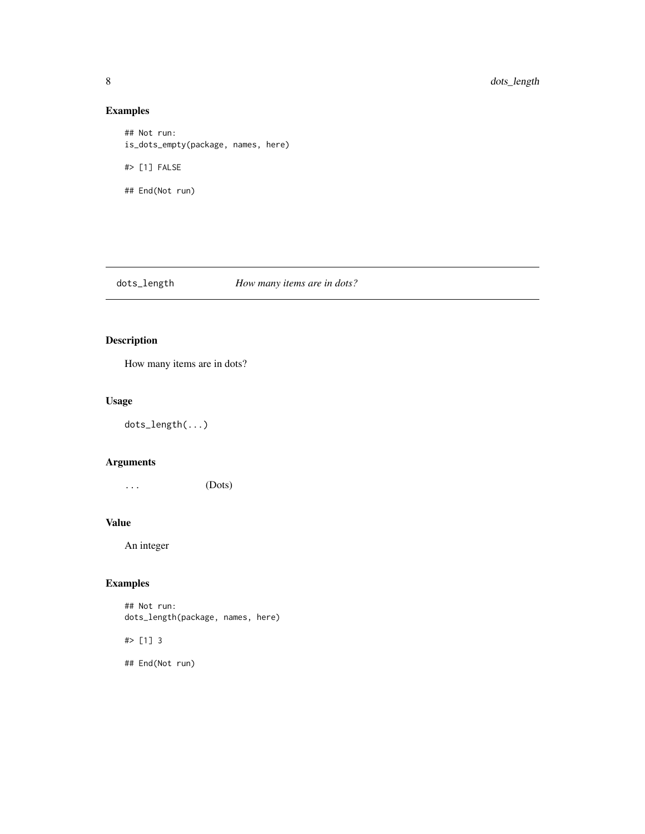# Examples

```
## Not run:
is_dots_empty(package, names, here)
#> [1] FALSE
## End(Not run)
```
dots\_length *How many items are in dots?*

# Description

How many items are in dots?

# Usage

dots\_length(...)

# Arguments

... (Dots)

#### Value

An integer

# Examples

## Not run: dots\_length(package, names, here)

#> [1] 3

## End(Not run)

<span id="page-7-0"></span>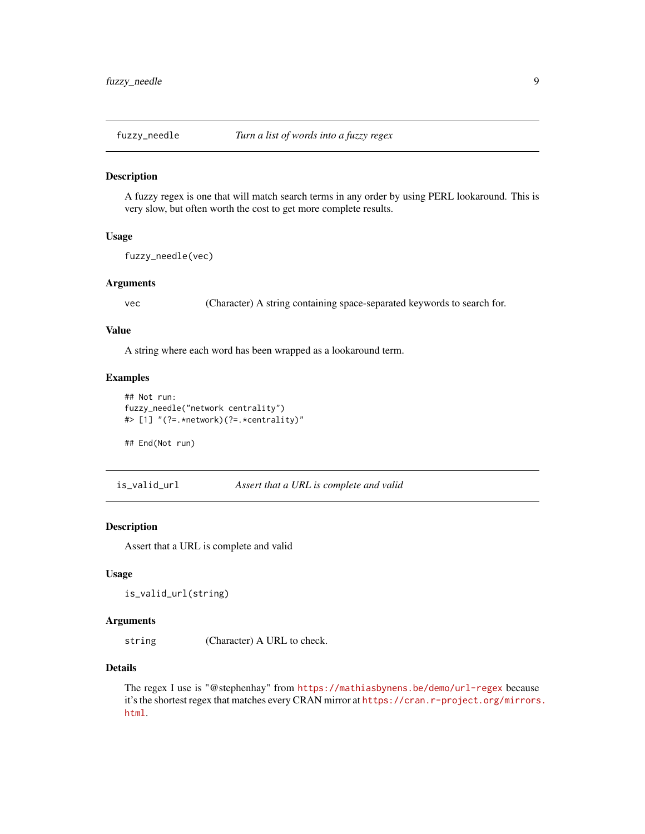<span id="page-8-0"></span>

#### Description

A fuzzy regex is one that will match search terms in any order by using PERL lookaround. This is very slow, but often worth the cost to get more complete results.

#### Usage

fuzzy\_needle(vec)

#### Arguments

vec (Character) A string containing space-separated keywords to search for.

#### Value

A string where each word has been wrapped as a lookaround term.

#### Examples

```
## Not run:
fuzzy_needle("network centrality")
#> [1] "(?=.*network)(?=.*centrality)"
```
## End(Not run)

is\_valid\_url *Assert that a URL is complete and valid*

# Description

Assert that a URL is complete and valid

#### Usage

```
is_valid_url(string)
```
# Arguments

string (Character) A URL to check.

#### Details

The regex I use is "@stephenhay" from <https://mathiasbynens.be/demo/url-regex> because it's the shortest regex that matches every CRAN mirror at [https://cran.r-project.org/mirrors](https://cran.r-project.org/mirrors.html). [html](https://cran.r-project.org/mirrors.html).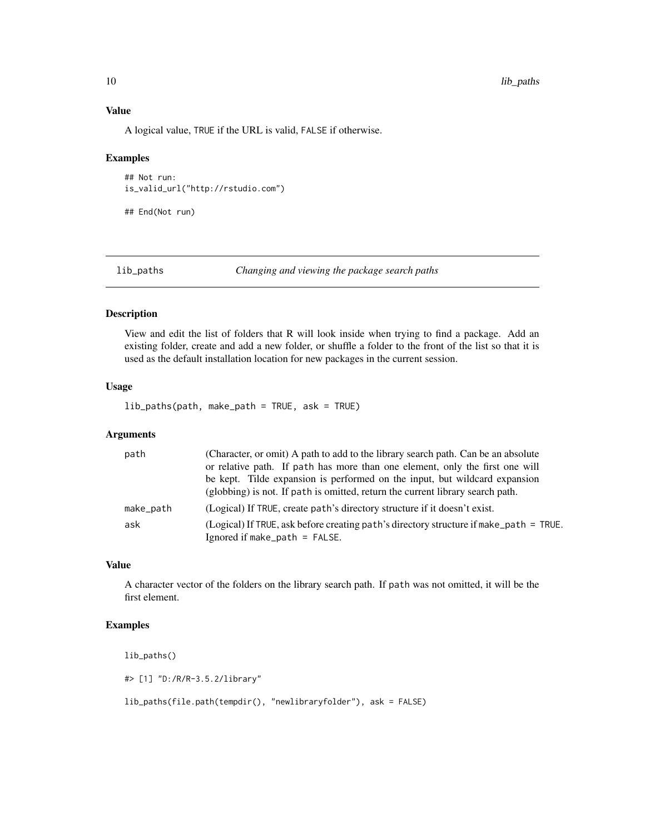# Value

A logical value, TRUE if the URL is valid, FALSE if otherwise.

#### Examples

## Not run: is\_valid\_url("http://rstudio.com")

## End(Not run)

lib\_paths *Changing and viewing the package search paths*

#### Description

View and edit the list of folders that R will look inside when trying to find a package. Add an existing folder, create and add a new folder, or shuffle a folder to the front of the list so that it is used as the default installation location for new packages in the current session.

#### Usage

lib\_paths(path, make\_path = TRUE, ask = TRUE)

# Arguments

| path      | (Character, or omit) A path to add to the library search path. Can be an absolute      |
|-----------|----------------------------------------------------------------------------------------|
|           | or relative path. If path has more than one element, only the first one will           |
|           | be kept. Tilde expansion is performed on the input, but wildcard expansion             |
|           | (globbing) is not. If path is omitted, return the current library search path.         |
| make_path | (Logical) If TRUE, create path's directory structure if it doesn't exist.              |
| ask       | (Logical) If TRUE, ask before creating path's directory structure if make path = TRUE. |
|           | Ignored if make_path = $FALSE.$                                                        |

# Value

A character vector of the folders on the library search path. If path was not omitted, it will be the first element.

# Examples

lib\_paths()

#> [1] "D:/R/R-3.5.2/library"

lib\_paths(file.path(tempdir(), "newlibraryfolder"), ask = FALSE)

<span id="page-9-0"></span>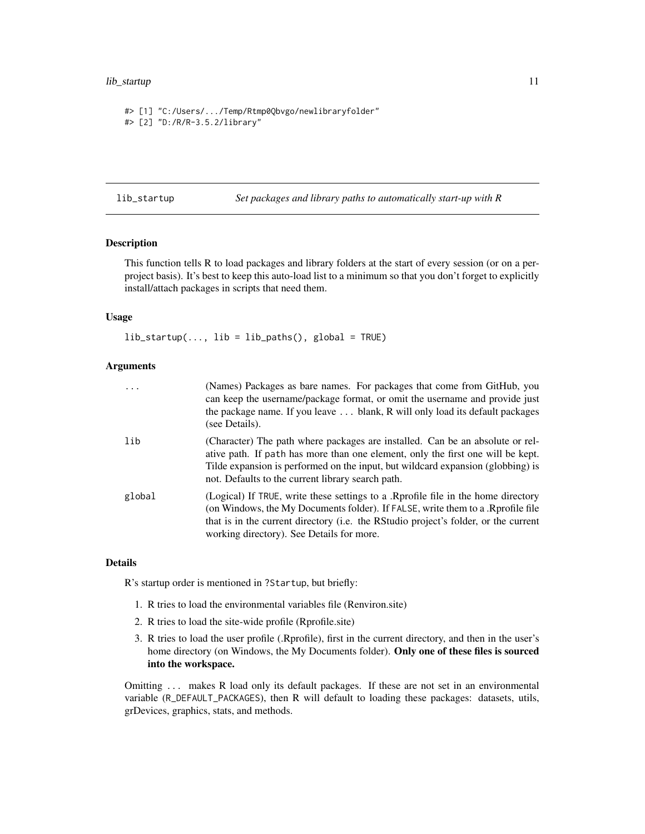# <span id="page-10-0"></span>lib\_startup 11

```
#> [1] "C:/Users/.../Temp/Rtmp0Qbvgo/newlibraryfolder"
#> [2] "D:/R/R-3.5.2/library"
```
lib\_startup *Set packages and library paths to automatically start-up with R*

#### **Description**

This function tells R to load packages and library folders at the start of every session (or on a perproject basis). It's best to keep this auto-load list to a minimum so that you don't forget to explicitly install/attach packages in scripts that need them.

#### Usage

 $lib\_startup(..., lib = lib\_paths(), global = TRUE)$ 

#### Arguments

| $\cdots$ | (Names) Packages as bare names. For packages that come from GitHub, you<br>can keep the username/package format, or omit the username and provide just<br>the package name. If you leave  blank, R will only load its default packages<br>(see Details).                                                 |
|----------|----------------------------------------------------------------------------------------------------------------------------------------------------------------------------------------------------------------------------------------------------------------------------------------------------------|
| lib      | (Character) The path where packages are installed. Can be an absolute or rel-<br>ative path. If path has more than one element, only the first one will be kept.<br>Tilde expansion is performed on the input, but wildcard expansion (globbing) is<br>not. Defaults to the current library search path. |
| global   | (Logical) If TRUE, write these settings to a .Rprofile file in the home directory<br>(on Windows, the My Documents folder). If FALSE, write them to a .Rprofile file<br>that is in the current directory (i.e. the RStudio project's folder, or the current<br>working directory). See Details for more. |

#### Details

R's startup order is mentioned in ?Startup, but briefly:

- 1. R tries to load the environmental variables file (Renviron.site)
- 2. R tries to load the site-wide profile (Rprofile.site)
- 3. R tries to load the user profile (.Rprofile), first in the current directory, and then in the user's home directory (on Windows, the My Documents folder). Only one of these files is sourced into the workspace.

Omitting ... makes R load only its default packages. If these are not set in an environmental variable (R\_DEFAULT\_PACKAGES), then R will default to loading these packages: datasets, utils, grDevices, graphics, stats, and methods.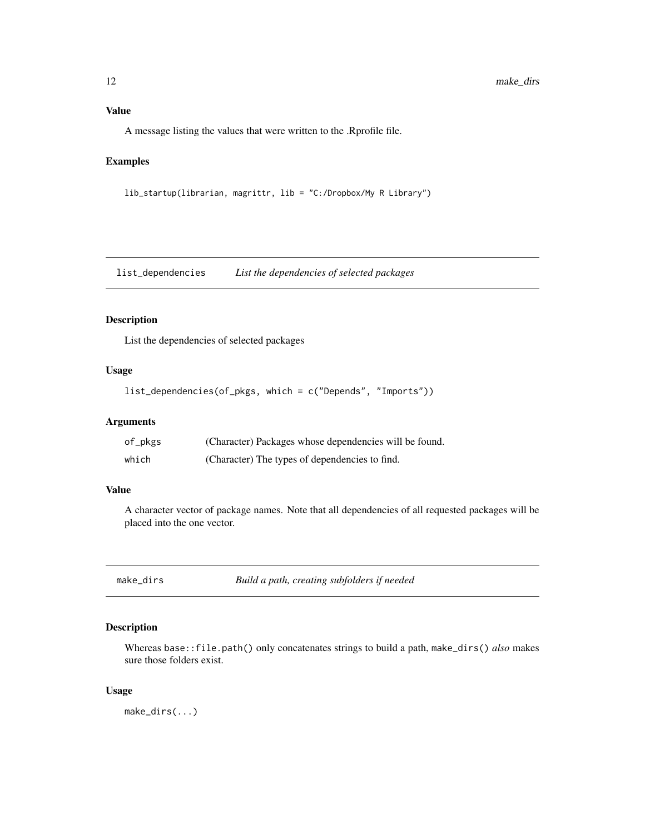<span id="page-11-0"></span>A message listing the values that were written to the .Rprofile file.

# Examples

lib\_startup(librarian, magrittr, lib = "C:/Dropbox/My R Library")

list\_dependencies *List the dependencies of selected packages*

# Description

List the dependencies of selected packages

# Usage

```
list_dependencies(of_pkgs, which = c("Depends", "Imports"))
```
#### Arguments

| of_pkgs | (Character) Packages whose dependencies will be found. |
|---------|--------------------------------------------------------|
| which   | (Character) The types of dependencies to find.         |

# Value

A character vector of package names. Note that all dependencies of all requested packages will be placed into the one vector.

make\_dirs *Build a path, creating subfolders if needed*

#### Description

Whereas base::file.path() only concatenates strings to build a path, make\_dirs() *also* makes sure those folders exist.

#### Usage

make\_dirs(...)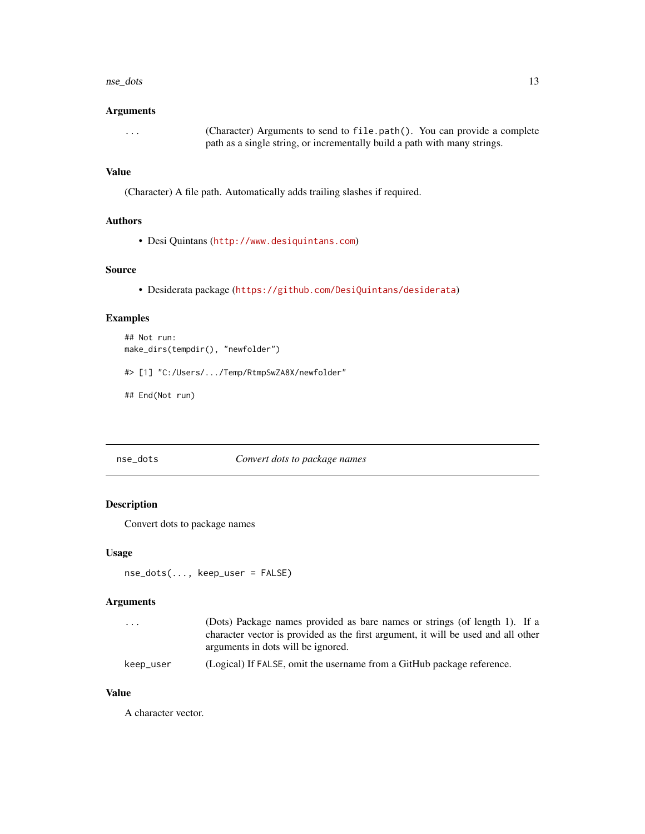#### <span id="page-12-0"></span>nse\_dots 13

#### Arguments

```
... (Character) Arguments to send to file.path(). You can provide a complete
                path as a single string, or incrementally build a path with many strings.
```
#### Value

(Character) A file path. Automatically adds trailing slashes if required.

#### Authors

• Desi Quintans (<http://www.desiquintans.com>)

#### Source

• Desiderata package (<https://github.com/DesiQuintans/desiderata>)

# Examples

```
## Not run:
make_dirs(tempdir(), "newfolder")
#> [1] "C:/Users/.../Temp/RtmpSwZA8X/newfolder"
```
## End(Not run)

#### nse\_dots *Convert dots to package names*

# Description

Convert dots to package names

#### Usage

nse\_dots(..., keep\_user = FALSE)

# Arguments

| $\cdot$ $\cdot$ $\cdot$ | (Dots) Package names provided as bare names or strings (of length 1). If a        |
|-------------------------|-----------------------------------------------------------------------------------|
|                         | character vector is provided as the first argument, it will be used and all other |
|                         | arguments in dots will be ignored.                                                |
| keep_user               | (Logical) If FALSE, omit the username from a GitHub package reference.            |

#### Value

A character vector.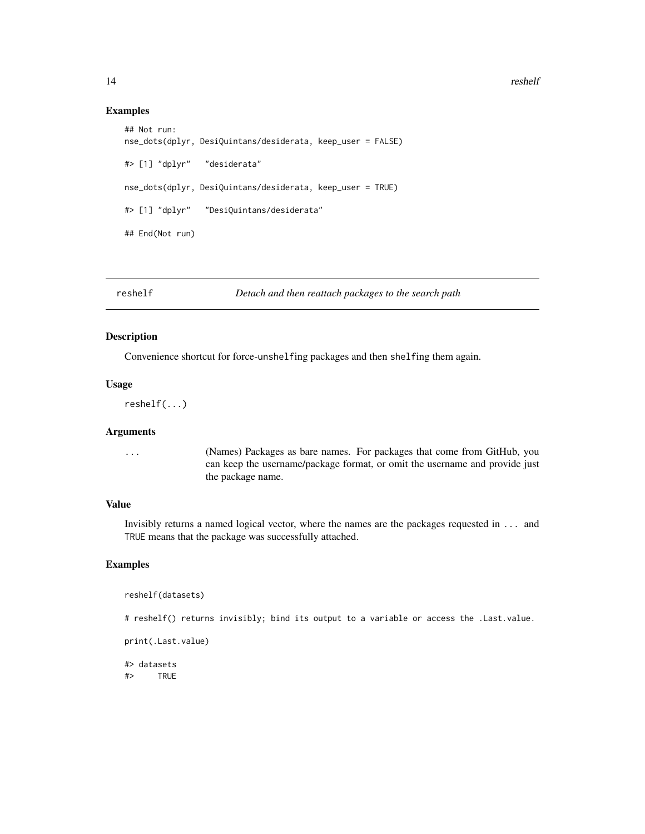14 reshelf

#### Examples

```
## Not run:
nse_dots(dplyr, DesiQuintans/desiderata, keep_user = FALSE)
#> [1] "dplyr" "desiderata"
nse_dots(dplyr, DesiQuintans/desiderata, keep_user = TRUE)
#> [1] "dplyr" "DesiQuintans/desiderata"
## End(Not run)
```
reshelf *Detach and then reattach packages to the search path*

# Description

Convenience shortcut for force-unshelfing packages and then shelfing them again.

#### Usage

```
reshelf(...)
```
#### Arguments

... (Names) Packages as bare names. For packages that come from GitHub, you can keep the username/package format, or omit the username and provide just the package name.

#### Value

Invisibly returns a named logical vector, where the names are the packages requested in ... and TRUE means that the package was successfully attached.

#### Examples

```
reshelf(datasets)
```
# reshelf() returns invisibly; bind its output to a variable or access the .Last.value.

print(.Last.value)

#> datasets #> TRUE

<span id="page-13-0"></span>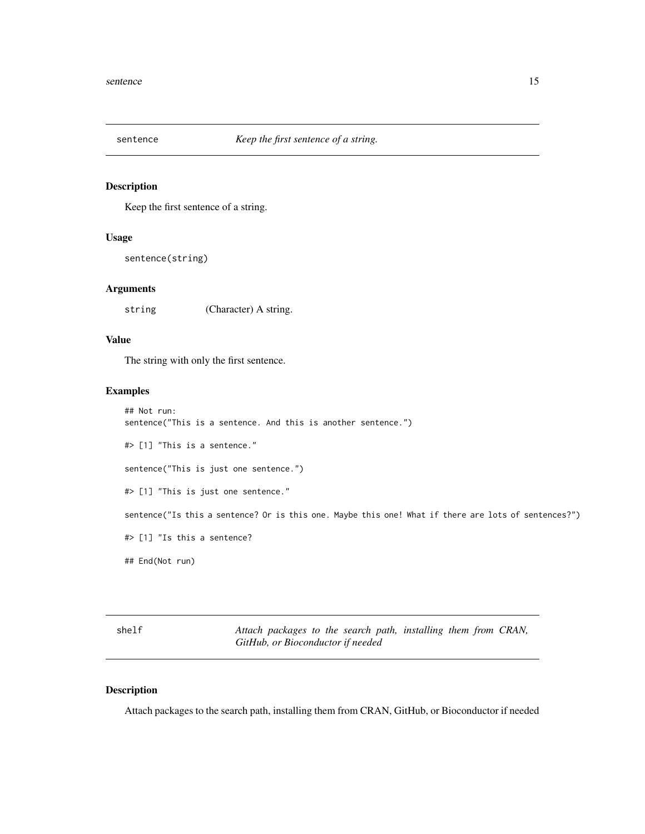<span id="page-14-0"></span>

#### Description

Keep the first sentence of a string.

#### Usage

sentence(string)

#### Arguments

string (Character) A string.

#### Value

The string with only the first sentence.

#### Examples

```
## Not run:
sentence("This is a sentence. And this is another sentence.")
#> [1] "This is a sentence."
sentence("This is just one sentence.")
#> [1] "This is just one sentence."
sentence("Is this a sentence? Or is this one. Maybe this one! What if there are lots of sentences?")
#> [1] "Is this a sentence?
## End(Not run)
```
shelf *Attach packages to the search path, installing them from CRAN, GitHub, or Bioconductor if needed*

#### Description

Attach packages to the search path, installing them from CRAN, GitHub, or Bioconductor if needed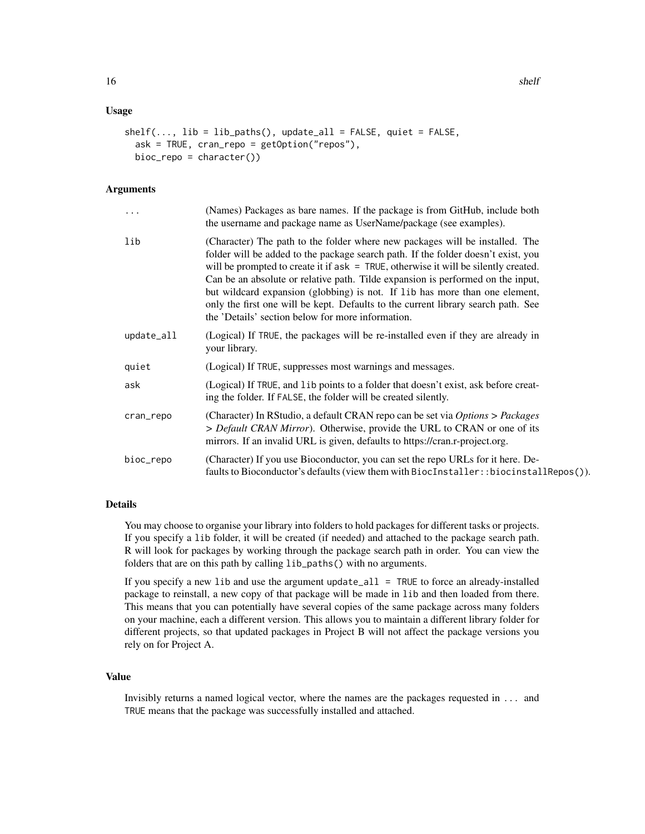#### Usage

```
shelf(..., lib = libnaths(), update_all = FALSE, quiet = FALSE,ask = TRUE, cran_repo = getOption("repos"),
 bioc_repo = character())
```
# Arguments

| .          | (Names) Packages as bare names. If the package is from GitHub, include both<br>the username and package name as UserName/package (see examples).                                                                                                                                                                                                                                                                                                                                                                                                                        |
|------------|-------------------------------------------------------------------------------------------------------------------------------------------------------------------------------------------------------------------------------------------------------------------------------------------------------------------------------------------------------------------------------------------------------------------------------------------------------------------------------------------------------------------------------------------------------------------------|
| lib        | (Character) The path to the folder where new packages will be installed. The<br>folder will be added to the package search path. If the folder doesn't exist, you<br>will be prompted to create it if $ask = TRUE$ , otherwise it will be silently created.<br>Can be an absolute or relative path. Tilde expansion is performed on the input,<br>but wildcard expansion (globbing) is not. If lib has more than one element,<br>only the first one will be kept. Defaults to the current library search path. See<br>the 'Details' section below for more information. |
| update_all | (Logical) If TRUE, the packages will be re-installed even if they are already in<br>your library.                                                                                                                                                                                                                                                                                                                                                                                                                                                                       |
| quiet      | (Logical) If TRUE, suppresses most warnings and messages.                                                                                                                                                                                                                                                                                                                                                                                                                                                                                                               |
| ask        | (Logical) If TRUE, and 1ib points to a folder that doesn't exist, ask before creat-<br>ing the folder. If FALSE, the folder will be created silently.                                                                                                                                                                                                                                                                                                                                                                                                                   |
| cran_repo  | (Character) In RStudio, a default CRAN repo can be set via Options > Packages<br>> Default CRAN Mirror). Otherwise, provide the URL to CRAN or one of its<br>mirrors. If an invalid URL is given, defaults to https://cran.r-project.org.                                                                                                                                                                                                                                                                                                                               |
| bioc_repo  | (Character) If you use Bioconductor, you can set the repo URLs for it here. De-<br>faults to Bioconductor's defaults (view them with BiocInstaller: :biocinstallRepos()).                                                                                                                                                                                                                                                                                                                                                                                               |

#### Details

You may choose to organise your library into folders to hold packages for different tasks or projects. If you specify a lib folder, it will be created (if needed) and attached to the package search path. R will look for packages by working through the package search path in order. You can view the folders that are on this path by calling lib\_paths() with no arguments.

If you specify a new lib and use the argument update\_all = TRUE to force an already-installed package to reinstall, a new copy of that package will be made in lib and then loaded from there. This means that you can potentially have several copies of the same package across many folders on your machine, each a different version. This allows you to maintain a different library folder for different projects, so that updated packages in Project B will not affect the package versions you rely on for Project A.

# Value

Invisibly returns a named logical vector, where the names are the packages requested in ... and TRUE means that the package was successfully installed and attached.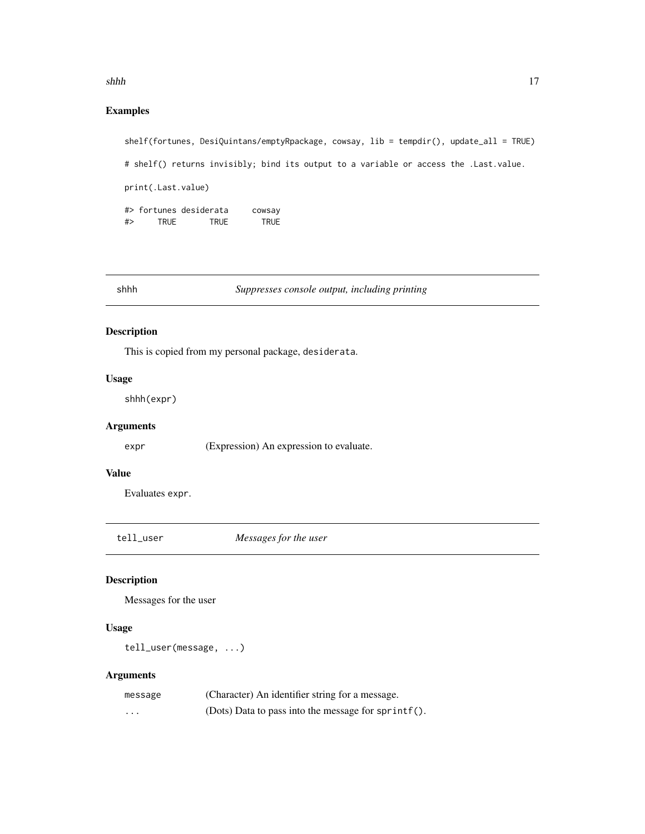#### <span id="page-16-0"></span>shhh isaacaa qaaraa qaabada iyo qaabada iyo qaabada iyo qaabada iyo qaabada iyo qaabada iyo qaabada iyo qaabad iyo qaabada iyo qaabada iyo qaabada iyo qaabada iyo qaabada iyo qaabada iyo qaabada iyo qaabada iyo qaabada iyo

# Examples

```
shelf(fortunes, DesiQuintans/emptyRpackage, cowsay, lib = tempdir(), update_all = TRUE)
# shelf() returns invisibly; bind its output to a variable or access the .Last.value.
print(.Last.value)
#> fortunes desiderata cowsay
#> TRUE TRUE TRUE
```
# shhh *Suppresses console output, including printing*

# Description

This is copied from my personal package, desiderata.

#### Usage

shhh(expr)

# Arguments

expr (Expression) An expression to evaluate.

# Value

Evaluates expr.

tell\_user *Messages for the user*

#### Description

Messages for the user

#### Usage

tell\_user(message, ...)

#### Arguments

| message  | (Character) An identifier string for a message.     |
|----------|-----------------------------------------------------|
| $\cdots$ | (Dots) Data to pass into the message for sprintf(). |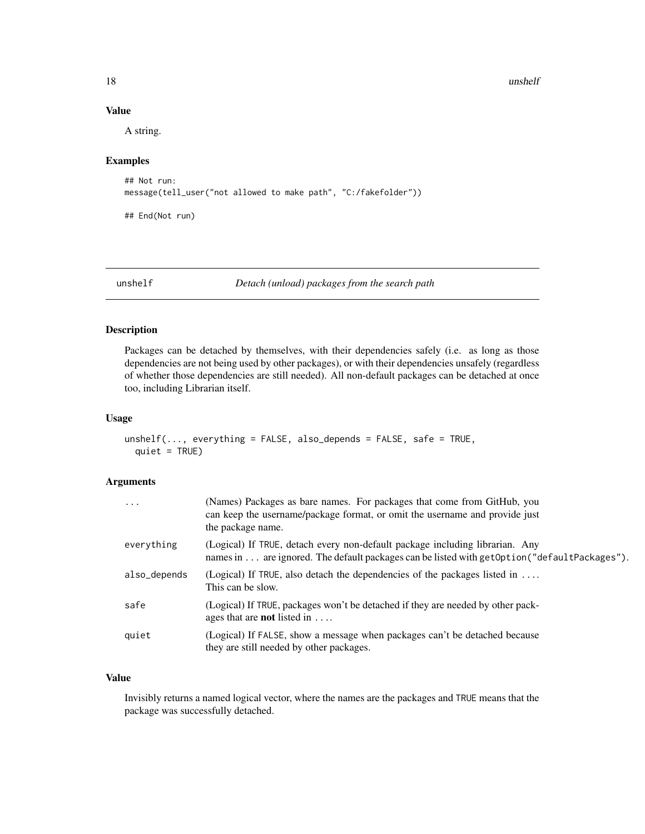18 unshelf

# Value

A string.

#### Examples

```
## Not run:
message(tell_user("not allowed to make path", "C:/fakefolder"))
```
## End(Not run)

unshelf *Detach (unload) packages from the search path*

# Description

Packages can be detached by themselves, with their dependencies safely (i.e. as long as those dependencies are not being used by other packages), or with their dependencies unsafely (regardless of whether those dependencies are still needed). All non-default packages can be detached at once too, including Librarian itself.

#### Usage

```
unshellf(..., everything = FALSE, also_depends = FALSE, safe = TRUE,quiet = TRUE)
```
#### Arguments

| $\cdots$     | (Names) Packages as bare names. For packages that come from GitHub, you<br>can keep the username/package format, or omit the username and provide just<br>the package name.    |
|--------------|--------------------------------------------------------------------------------------------------------------------------------------------------------------------------------|
| everything   | (Logical) If TRUE, detach every non-default package including librarian. Any<br>names in are ignored. The default packages can be listed with get Option ("default Packages"). |
| also_depends | (Logical) If TRUE, also detach the dependencies of the packages listed in $\dots$<br>This can be slow.                                                                         |
| safe         | (Logical) If TRUE, packages won't be detached if they are needed by other pack-<br>ages that are <b>not</b> listed in $\dots$                                                  |
| quiet        | (Logical) If FALSE, show a message when packages can't be detached because<br>they are still needed by other packages.                                                         |

# Value

Invisibly returns a named logical vector, where the names are the packages and TRUE means that the package was successfully detached.

<span id="page-17-0"></span>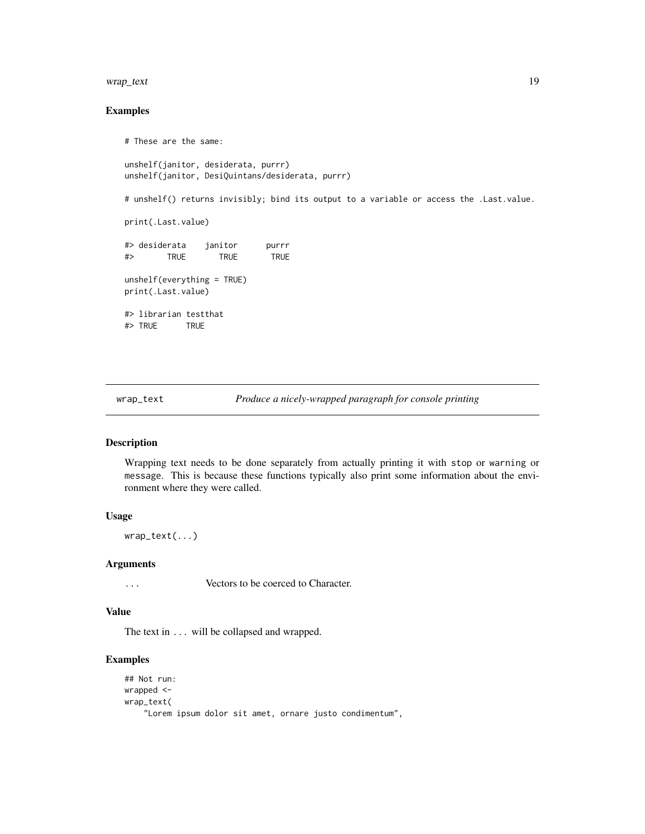#### <span id="page-18-0"></span>wrap\_text 19

# Examples

```
# These are the same:
unshelf(janitor, desiderata, purrr)
unshelf(janitor, DesiQuintans/desiderata, purrr)
# unshelf() returns invisibly; bind its output to a variable or access the .Last.value.
print(.Last.value)
#> desiderata janitor purrr
#> TRUE TRUE TRUE
unshelf(everything = TRUE)
print(.Last.value)
#> librarian testthat
#> TRUE TRUE
```
wrap\_text *Produce a nicely-wrapped paragraph for console printing*

#### Description

Wrapping text needs to be done separately from actually printing it with stop or warning or message. This is because these functions typically also print some information about the environment where they were called.

#### Usage

wrap\_text(...)

#### Arguments

... Vectors to be coerced to Character.

#### Value

The text in ... will be collapsed and wrapped.

# Examples

```
## Not run:
wrapped <-
wrap_text(
    "Lorem ipsum dolor sit amet, ornare justo condimentum",
```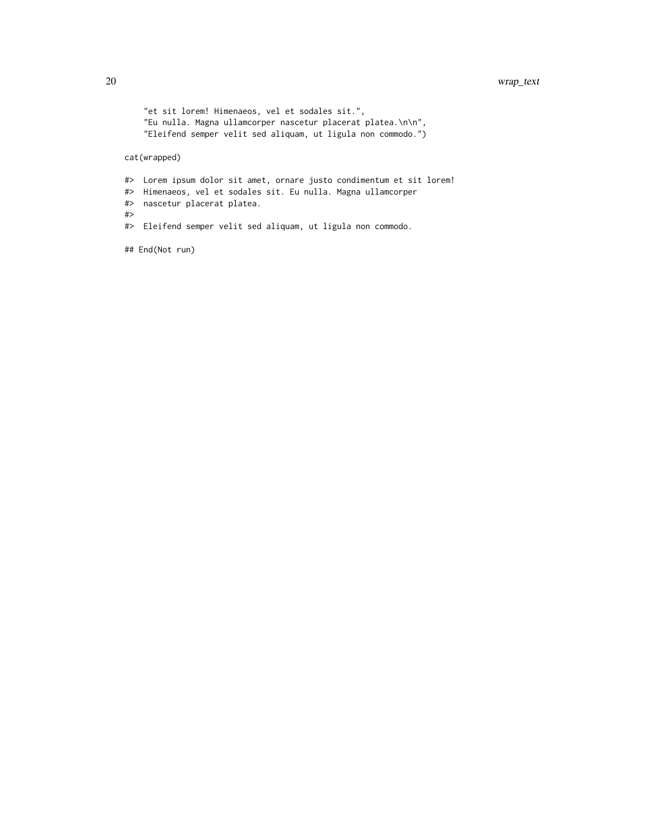```
"et sit lorem! Himenaeos, vel et sodales sit.",
    "Eu nulla. Magna ullamcorper nascetur placerat platea.\n\n",
    "Eleifend semper velit sed aliquam, ut ligula non commodo.")
cat(wrapped)
#> Lorem ipsum dolor sit amet, ornare justo condimentum et sit lorem!
#> Himenaeos, vel et sodales sit. Eu nulla. Magna ullamcorper
#> nascetur placerat platea.
#>
#> Eleifend semper velit sed aliquam, ut ligula non commodo.
## End(Not run)
```